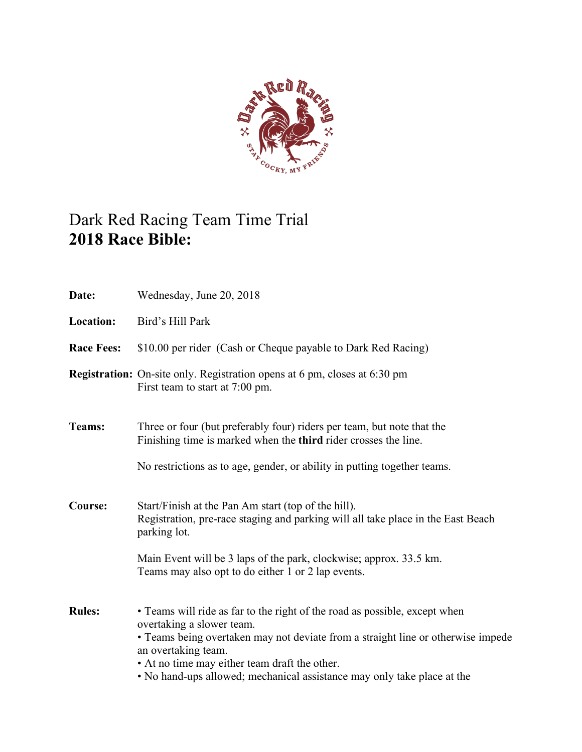

# Dark Red Racing Team Time Trial **2018 Race Bible:**

| Date:             | Wednesday, June 20, 2018                                                                                                                                                                                                                                                                                                                       |
|-------------------|------------------------------------------------------------------------------------------------------------------------------------------------------------------------------------------------------------------------------------------------------------------------------------------------------------------------------------------------|
| <b>Location:</b>  | Bird's Hill Park                                                                                                                                                                                                                                                                                                                               |
| <b>Race Fees:</b> | \$10.00 per rider (Cash or Cheque payable to Dark Red Racing)                                                                                                                                                                                                                                                                                  |
|                   | <b>Registration:</b> On-site only. Registration opens at 6 pm, closes at 6:30 pm<br>First team to start at 7:00 pm.                                                                                                                                                                                                                            |
| Teams:            | Three or four (but preferably four) riders per team, but note that the<br>Finishing time is marked when the <b>third</b> rider crosses the line.<br>No restrictions as to age, gender, or ability in putting together teams.                                                                                                                   |
| Course:           | Start/Finish at the Pan Am start (top of the hill).<br>Registration, pre-race staging and parking will all take place in the East Beach<br>parking lot.<br>Main Event will be 3 laps of the park, clockwise; approx. 33.5 km.<br>Teams may also opt to do either 1 or 2 lap events.                                                            |
| <b>Rules:</b>     | • Teams will ride as far to the right of the road as possible, except when<br>overtaking a slower team.<br>• Teams being overtaken may not deviate from a straight line or otherwise impede<br>an overtaking team.<br>• At no time may either team draft the other.<br>• No hand-ups allowed; mechanical assistance may only take place at the |